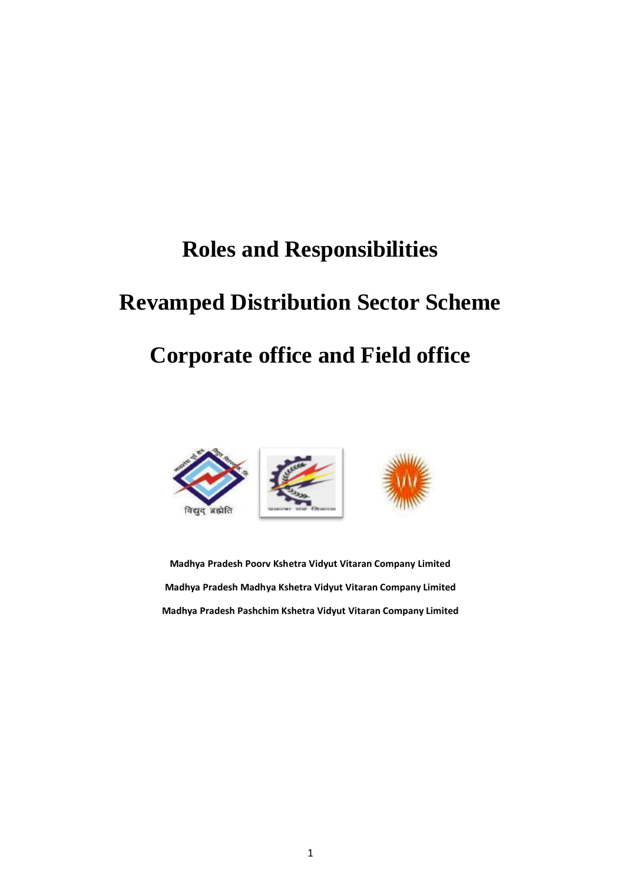# **Roles and Responsibilities**

# **Revamped Distribution Sector Scheme**

# **Corporate office and Field office**



**Madhya Pradesh Poorv Kshetra Vidyut Vitaran Company Limited Madhya Pradesh Madhya Kshetra Vidyut Vitaran Company Limited Madhya Pradesh Pashchim Kshetra Vidyut Vitaran Company Limited**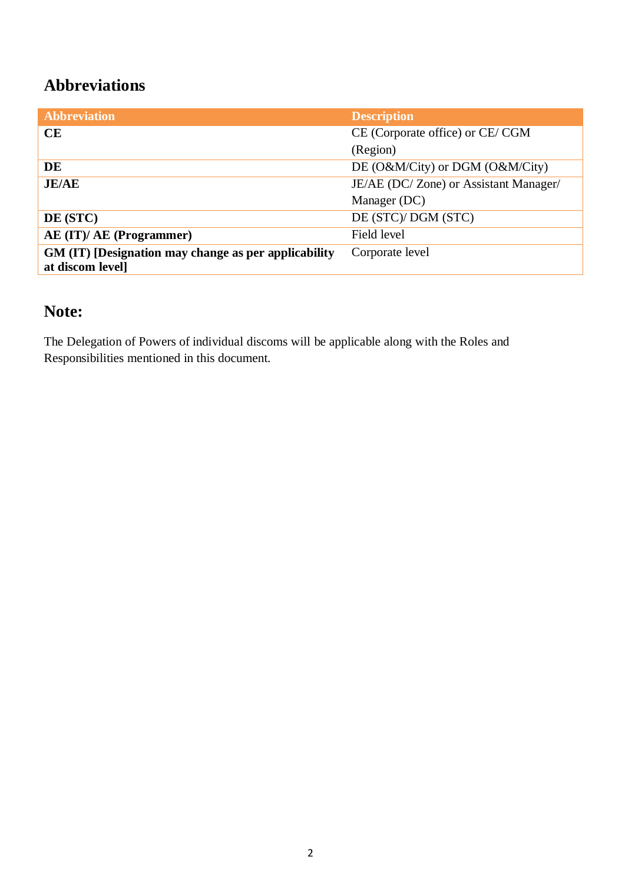### **Abbreviations**

| <b>Abbreviation</b>                                                      | <b>Description</b>                    |
|--------------------------------------------------------------------------|---------------------------------------|
| CE                                                                       | CE (Corporate office) or CE/CGM       |
|                                                                          | (Region)                              |
| DE                                                                       | DE (O&M/City) or DGM (O&M/City)       |
| <b>JE/AE</b>                                                             | JE/AE (DC/Zone) or Assistant Manager/ |
|                                                                          | Manager (DC)                          |
| DE (STC)                                                                 | DE (STC)/ DGM (STC)                   |
| AE (IT)/ AE (Programmer)                                                 | Field level                           |
| GM (IT) [Designation may change as per applicability<br>at discom level] | Corporate level                       |

### **Note:**

The Delegation of Powers of individual discoms will be applicable along with the Roles and Responsibilities mentioned in this document.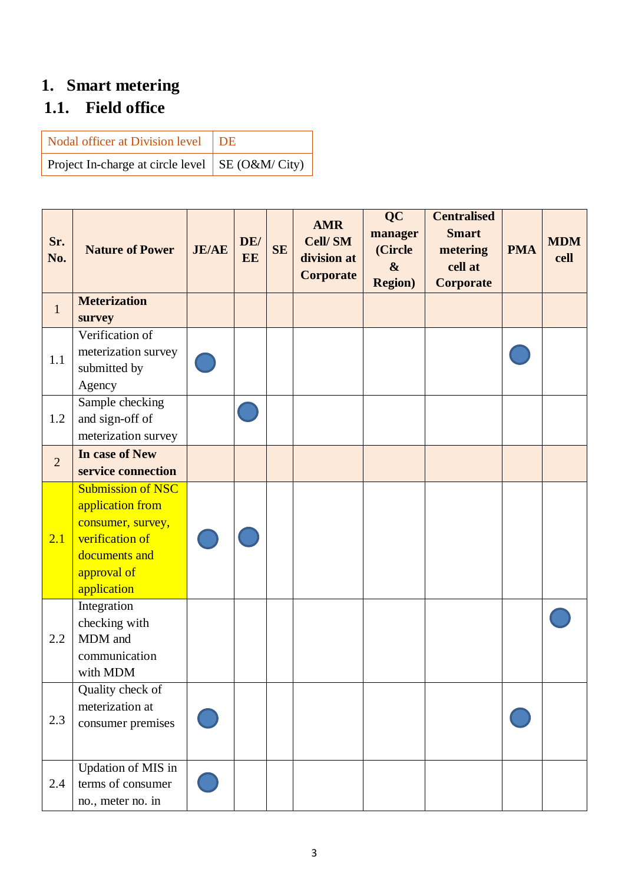## **1. Smart metering**

## **1.1. Field office**

| Nodal officer at Division level   DE                    |  |
|---------------------------------------------------------|--|
| Project In-charge at circle level $\vert$ SE (O&M/City) |  |

| Sr.<br>No.     | <b>Nature of Power</b>                                                                                                              | <b>JE/AE</b> | DE/<br>EE | <b>SE</b> | <b>AMR</b><br>Cell/SM<br>division at<br>Corporate | <b>QC</b><br>manager<br>(Circle<br>$\boldsymbol{\&}$<br><b>Region</b> ) | <b>Centralised</b><br><b>Smart</b><br>metering<br>cell at<br>Corporate | <b>PMA</b> | <b>MDM</b><br>cell |
|----------------|-------------------------------------------------------------------------------------------------------------------------------------|--------------|-----------|-----------|---------------------------------------------------|-------------------------------------------------------------------------|------------------------------------------------------------------------|------------|--------------------|
| $\mathbf{1}$   | <b>Meterization</b><br>survey                                                                                                       |              |           |           |                                                   |                                                                         |                                                                        |            |                    |
| 1.1            | Verification of<br>meterization survey<br>submitted by<br>Agency                                                                    |              |           |           |                                                   |                                                                         |                                                                        |            |                    |
| 1.2            | Sample checking<br>and sign-off of<br>meterization survey                                                                           |              |           |           |                                                   |                                                                         |                                                                        |            |                    |
| $\overline{2}$ | In case of New<br>service connection                                                                                                |              |           |           |                                                   |                                                                         |                                                                        |            |                    |
| 2.1            | <b>Submission of NSC</b><br>application from<br>consumer, survey,<br>verification of<br>documents and<br>approval of<br>application |              |           |           |                                                   |                                                                         |                                                                        |            |                    |
| 2.2            | Integration<br>checking with<br>MDM and<br>communication<br>with MDM                                                                |              |           |           |                                                   |                                                                         |                                                                        |            |                    |
| 2.3            | Quality check of<br>meterization at<br>consumer premises                                                                            |              |           |           |                                                   |                                                                         |                                                                        |            |                    |
| 2.4            | Updation of MIS in<br>terms of consumer<br>no., meter no. in                                                                        |              |           |           |                                                   |                                                                         |                                                                        |            |                    |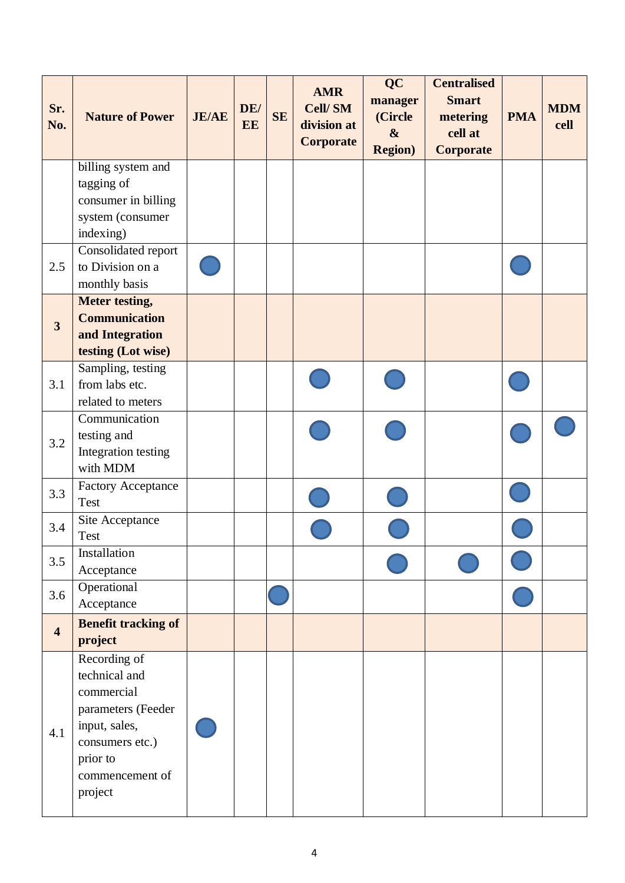| Sr.<br>No.              | <b>Nature of Power</b>                                                                                                                          | <b>JE/AE</b> | DE/<br>EE | <b>SE</b> | <b>AMR</b><br><b>Cell/SM</b><br>division at<br>Corporate | <b>QC</b><br>manager<br>(Circle<br>$\boldsymbol{\alpha}$<br><b>Region</b> ) | <b>Centralised</b><br><b>Smart</b><br>metering<br>cell at<br>Corporate | <b>PMA</b> | <b>MDM</b><br>cell |
|-------------------------|-------------------------------------------------------------------------------------------------------------------------------------------------|--------------|-----------|-----------|----------------------------------------------------------|-----------------------------------------------------------------------------|------------------------------------------------------------------------|------------|--------------------|
|                         | billing system and                                                                                                                              |              |           |           |                                                          |                                                                             |                                                                        |            |                    |
|                         | tagging of<br>consumer in billing                                                                                                               |              |           |           |                                                          |                                                                             |                                                                        |            |                    |
|                         | system (consumer                                                                                                                                |              |           |           |                                                          |                                                                             |                                                                        |            |                    |
|                         | indexing)                                                                                                                                       |              |           |           |                                                          |                                                                             |                                                                        |            |                    |
|                         | Consolidated report                                                                                                                             |              |           |           |                                                          |                                                                             |                                                                        |            |                    |
| 2.5                     | to Division on a                                                                                                                                |              |           |           |                                                          |                                                                             |                                                                        |            |                    |
|                         | monthly basis<br><b>Meter testing,</b>                                                                                                          |              |           |           |                                                          |                                                                             |                                                                        |            |                    |
|                         | <b>Communication</b>                                                                                                                            |              |           |           |                                                          |                                                                             |                                                                        |            |                    |
| $\overline{\mathbf{3}}$ | and Integration                                                                                                                                 |              |           |           |                                                          |                                                                             |                                                                        |            |                    |
|                         | testing (Lot wise)                                                                                                                              |              |           |           |                                                          |                                                                             |                                                                        |            |                    |
|                         | Sampling, testing                                                                                                                               |              |           |           |                                                          |                                                                             |                                                                        |            |                    |
| 3.1                     | from labs etc.<br>related to meters                                                                                                             |              |           |           |                                                          |                                                                             |                                                                        |            |                    |
|                         | Communication                                                                                                                                   |              |           |           |                                                          |                                                                             |                                                                        |            |                    |
|                         | testing and                                                                                                                                     |              |           |           |                                                          |                                                                             |                                                                        |            |                    |
| 3.2                     | Integration testing<br>with MDM                                                                                                                 |              |           |           |                                                          |                                                                             |                                                                        |            |                    |
| 3.3                     | <b>Factory Acceptance</b><br>Test                                                                                                               |              |           |           |                                                          |                                                                             |                                                                        |            |                    |
| 3.4                     | Site Acceptance<br>Test                                                                                                                         |              |           |           |                                                          |                                                                             |                                                                        |            |                    |
| 3.5                     | Installation                                                                                                                                    |              |           |           |                                                          |                                                                             |                                                                        |            |                    |
|                         | Acceptance<br>Operational                                                                                                                       |              |           |           |                                                          |                                                                             |                                                                        |            |                    |
| 3.6                     | Acceptance                                                                                                                                      |              |           |           |                                                          |                                                                             |                                                                        |            |                    |
| $\overline{\mathbf{4}}$ | <b>Benefit tracking of</b><br>project                                                                                                           |              |           |           |                                                          |                                                                             |                                                                        |            |                    |
| 4.1                     | Recording of<br>technical and<br>commercial<br>parameters (Feeder<br>input, sales,<br>consumers etc.)<br>prior to<br>commencement of<br>project |              |           |           |                                                          |                                                                             |                                                                        |            |                    |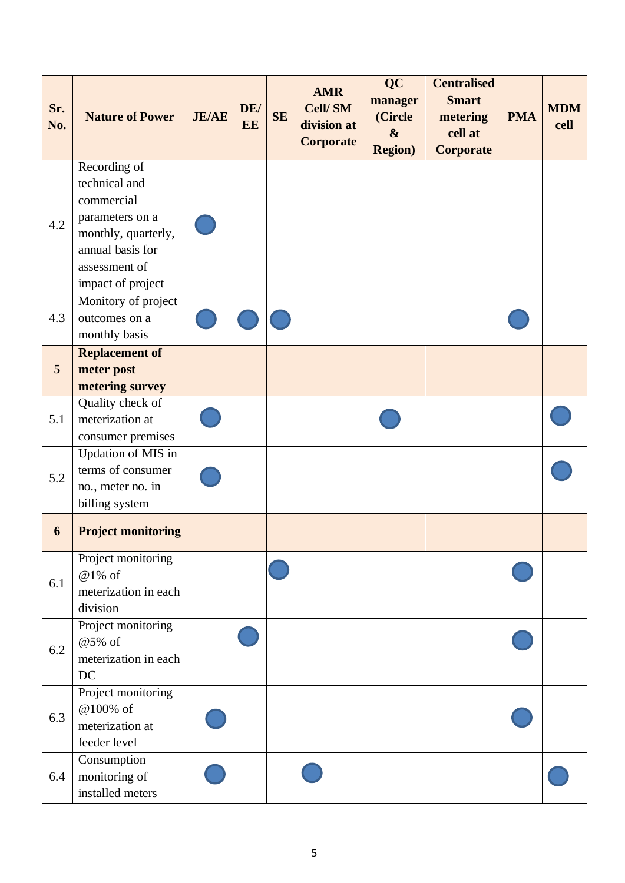| Sr.<br>No. | <b>Nature of Power</b>                                                                                                                          | <b>JE/AE</b> | DE/<br>EE | SE | <b>AMR</b><br><b>Cell/SM</b><br>division at<br>Corporate | <b>QC</b><br>manager<br>(Circle<br>$\boldsymbol{\&}$<br><b>Region</b> ) | <b>Centralised</b><br><b>Smart</b><br>metering<br>cell at<br>Corporate | <b>PMA</b> | <b>MDM</b><br>cell |
|------------|-------------------------------------------------------------------------------------------------------------------------------------------------|--------------|-----------|----|----------------------------------------------------------|-------------------------------------------------------------------------|------------------------------------------------------------------------|------------|--------------------|
| 4.2        | Recording of<br>technical and<br>commercial<br>parameters on a<br>monthly, quarterly,<br>annual basis for<br>assessment of<br>impact of project |              |           |    |                                                          |                                                                         |                                                                        |            |                    |
| 4.3        | Monitory of project<br>outcomes on a<br>monthly basis                                                                                           |              |           |    |                                                          |                                                                         |                                                                        |            |                    |
| 5          | <b>Replacement of</b><br>meter post<br>metering survey                                                                                          |              |           |    |                                                          |                                                                         |                                                                        |            |                    |
| 5.1        | Quality check of<br>meterization at<br>consumer premises                                                                                        |              |           |    |                                                          |                                                                         |                                                                        |            |                    |
| 5.2        | <b>Updation of MIS in</b><br>terms of consumer<br>no., meter no. in<br>billing system                                                           |              |           |    |                                                          |                                                                         |                                                                        |            |                    |
| 6          | <b>Project monitoring</b>                                                                                                                       |              |           |    |                                                          |                                                                         |                                                                        |            |                    |
| 6.1        | Project monitoring<br>@1% of<br>meterization in each<br>division                                                                                |              |           |    |                                                          |                                                                         |                                                                        |            |                    |
| 6.2        | Project monitoring<br>@5% of<br>meterization in each<br>DC                                                                                      |              |           |    |                                                          |                                                                         |                                                                        |            |                    |
| 6.3        | Project monitoring<br>@100% of<br>meterization at<br>feeder level                                                                               |              |           |    |                                                          |                                                                         |                                                                        |            |                    |
| 6.4        | Consumption<br>monitoring of<br>installed meters                                                                                                |              |           |    |                                                          |                                                                         |                                                                        |            |                    |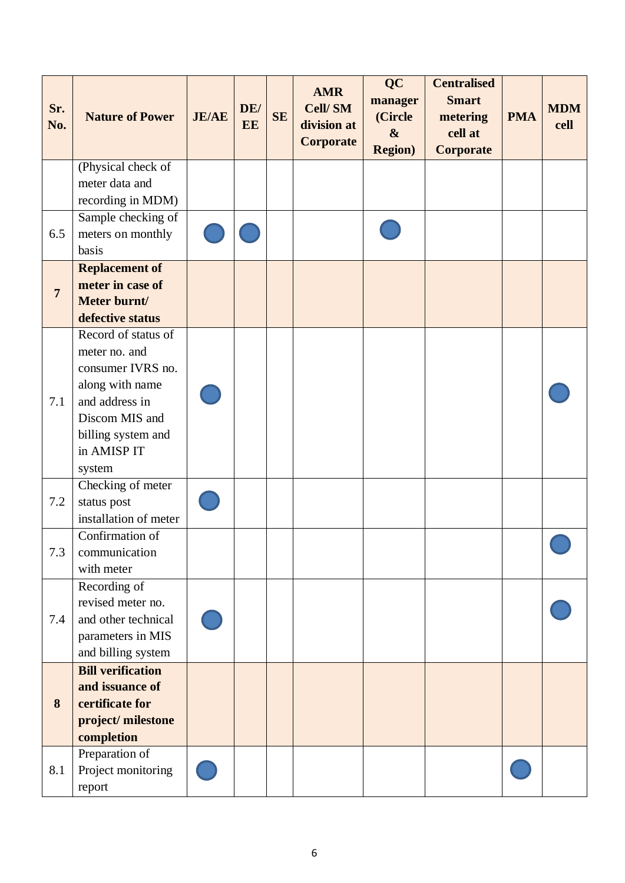| Sr.<br>No.     | <b>Nature of Power</b>                                                                                                                                          | <b>JE/AE</b> | DE/<br>EE | <b>SE</b> | <b>AMR</b><br><b>Cell/SM</b><br>division at<br>Corporate | <b>QC</b><br>manager<br>(Circle<br>$\boldsymbol{\&}$<br><b>Region</b> ) | <b>Centralised</b><br><b>Smart</b><br>metering<br>cell at<br>Corporate | <b>PMA</b> | <b>MDM</b><br>cell |
|----------------|-----------------------------------------------------------------------------------------------------------------------------------------------------------------|--------------|-----------|-----------|----------------------------------------------------------|-------------------------------------------------------------------------|------------------------------------------------------------------------|------------|--------------------|
| 6.5            | (Physical check of<br>meter data and<br>recording in MDM)<br>Sample checking of<br>meters on monthly<br>basis                                                   |              |           |           |                                                          |                                                                         |                                                                        |            |                    |
| $\overline{7}$ | <b>Replacement of</b><br>meter in case of<br>Meter burnt/<br>defective status                                                                                   |              |           |           |                                                          |                                                                         |                                                                        |            |                    |
| 7.1            | Record of status of<br>meter no. and<br>consumer IVRS no.<br>along with name<br>and address in<br>Discom MIS and<br>billing system and<br>in AMISP IT<br>system |              |           |           |                                                          |                                                                         |                                                                        |            |                    |
| 7.2<br>7.3     | Checking of meter<br>status post<br>installation of meter<br>Confirmation of<br>communication<br>with meter                                                     |              |           |           |                                                          |                                                                         |                                                                        |            |                    |
| 7.4            | Recording of<br>revised meter no.<br>and other technical<br>parameters in MIS<br>and billing system                                                             |              |           |           |                                                          |                                                                         |                                                                        |            |                    |
| 8              | <b>Bill verification</b><br>and issuance of<br>certificate for<br>project/milestone<br>completion                                                               |              |           |           |                                                          |                                                                         |                                                                        |            |                    |
| 8.1            | Preparation of<br>Project monitoring<br>report                                                                                                                  |              |           |           |                                                          |                                                                         |                                                                        |            |                    |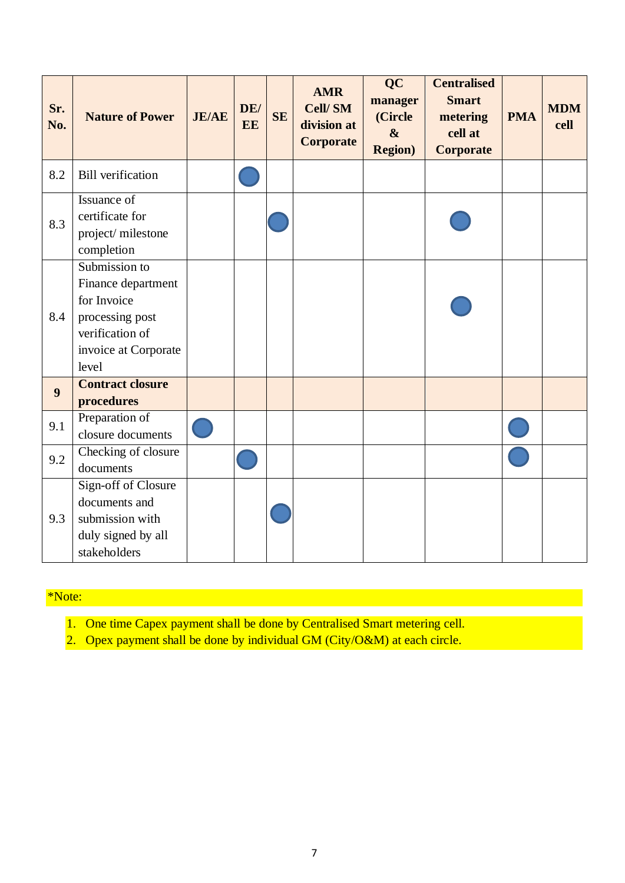| Sr.<br>No. | <b>Nature of Power</b>                                                                                                    | <b>JE/AE</b> | DE/<br>EE | <b>SE</b> | <b>AMR</b><br><b>Cell/SM</b><br>division at<br>Corporate | <b>QC</b><br>manager<br>(Circle<br>$\boldsymbol{\&}$<br><b>Region</b> ) | <b>Centralised</b><br><b>Smart</b><br>metering<br>cell at<br><b>Corporate</b> | <b>PMA</b> | <b>MDM</b><br>cell |
|------------|---------------------------------------------------------------------------------------------------------------------------|--------------|-----------|-----------|----------------------------------------------------------|-------------------------------------------------------------------------|-------------------------------------------------------------------------------|------------|--------------------|
| 8.2        | <b>Bill</b> verification                                                                                                  |              |           |           |                                                          |                                                                         |                                                                               |            |                    |
| 8.3        | Issuance of<br>certificate for<br>project/milestone<br>completion                                                         |              |           |           |                                                          |                                                                         |                                                                               |            |                    |
| 8.4        | Submission to<br>Finance department<br>for Invoice<br>processing post<br>verification of<br>invoice at Corporate<br>level |              |           |           |                                                          |                                                                         |                                                                               |            |                    |
| 9          | <b>Contract closure</b><br>procedures                                                                                     |              |           |           |                                                          |                                                                         |                                                                               |            |                    |
| 9.1        | Preparation of<br>closure documents                                                                                       |              |           |           |                                                          |                                                                         |                                                                               |            |                    |
| 9.2        | Checking of closure<br>documents                                                                                          |              |           |           |                                                          |                                                                         |                                                                               |            |                    |
| 9.3        | Sign-off of Closure<br>documents and<br>submission with<br>duly signed by all<br>stakeholders                             |              |           |           |                                                          |                                                                         |                                                                               |            |                    |

### \*Note:

- 1. One time Capex payment shall be done by Centralised Smart metering cell.
- 2. Opex payment shall be done by individual GM (City/O&M) at each circle.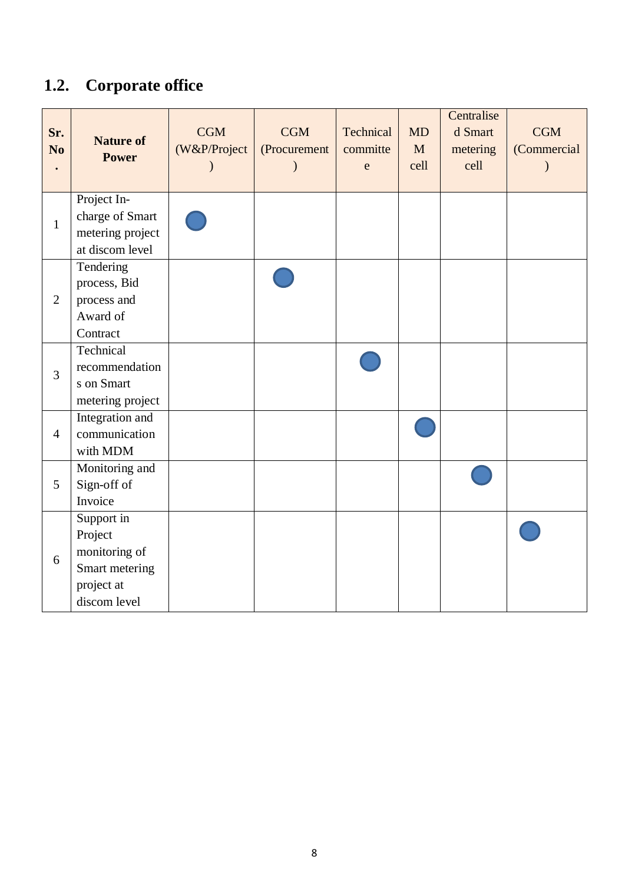# **1.2. Corporate office**

| Sr.<br>N <sub>0</sub> | <b>Nature of</b><br><b>Power</b>                                                       | <b>CGM</b><br>(W&P/Project | <b>CGM</b><br>(Procurement | Technical<br>committe<br>$\mathbf{e}$ | <b>MD</b><br>M<br>cell | Centralise<br>d Smart<br>metering<br>cell | <b>CGM</b><br>(Commercial |
|-----------------------|----------------------------------------------------------------------------------------|----------------------------|----------------------------|---------------------------------------|------------------------|-------------------------------------------|---------------------------|
| $\mathbf{1}$          | Project In-<br>charge of Smart<br>metering project<br>at discom level                  |                            |                            |                                       |                        |                                           |                           |
| $\overline{2}$        | Tendering<br>process, Bid<br>process and<br>Award of<br>Contract                       |                            |                            |                                       |                        |                                           |                           |
| 3                     | Technical<br>recommendation<br>s on Smart<br>metering project                          |                            |                            |                                       |                        |                                           |                           |
| $\overline{4}$        | Integration and<br>communication<br>with MDM                                           |                            |                            |                                       |                        |                                           |                           |
| 5                     | Monitoring and<br>Sign-off of<br>Invoice                                               |                            |                            |                                       |                        |                                           |                           |
| 6                     | Support in<br>Project<br>monitoring of<br>Smart metering<br>project at<br>discom level |                            |                            |                                       |                        |                                           |                           |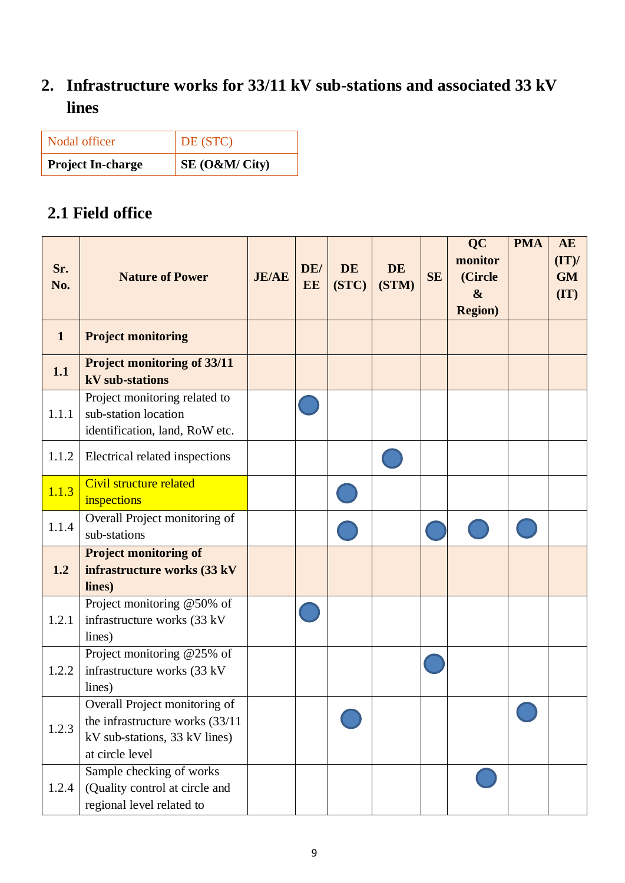## **2. Infrastructure works for 33/11 kV sub-stations and associated 33 kV lines**

| <b>Project In-charge</b> | $SE(0\&M/City)$ |
|--------------------------|-----------------|
| Nodal officer            | DE (STC)        |

### **2.1 Field office**

| Sr.<br>No.   | <b>Nature of Power</b>                                                                                               | <b>JE/AE</b> | DE/<br>EE | <b>DE</b><br>(STC) | <b>DE</b><br>(STM) | <b>SE</b> | <b>QC</b><br>monitor<br>(Circle<br>$\boldsymbol{\&}$<br><b>Region</b> ) | <b>PMA</b> | <b>AE</b><br>(TT)<br><b>GM</b><br>$(\mathbf{I}\mathbf{T})$ |
|--------------|----------------------------------------------------------------------------------------------------------------------|--------------|-----------|--------------------|--------------------|-----------|-------------------------------------------------------------------------|------------|------------------------------------------------------------|
| $\mathbf{1}$ | <b>Project monitoring</b>                                                                                            |              |           |                    |                    |           |                                                                         |            |                                                            |
| 1.1          | <b>Project monitoring of 33/11</b><br>kV sub-stations                                                                |              |           |                    |                    |           |                                                                         |            |                                                            |
| 1.1.1        | Project monitoring related to<br>sub-station location<br>identification, land, RoW etc.                              |              |           |                    |                    |           |                                                                         |            |                                                            |
| 1.1.2        | Electrical related inspections                                                                                       |              |           |                    |                    |           |                                                                         |            |                                                            |
| 1.1.3        | Civil structure related<br>inspections                                                                               |              |           |                    |                    |           |                                                                         |            |                                                            |
| 1.1.4        | Overall Project monitoring of<br>sub-stations                                                                        |              |           |                    |                    |           |                                                                         |            |                                                            |
| 1.2          | <b>Project monitoring of</b><br>infrastructure works (33 kV<br>lines)                                                |              |           |                    |                    |           |                                                                         |            |                                                            |
| 1.2.1        | Project monitoring @50% of<br>infrastructure works (33 kV<br>lines)                                                  |              |           |                    |                    |           |                                                                         |            |                                                            |
| 1.2.2        | Project monitoring @25% of<br>infrastructure works (33 kV<br>lines)                                                  |              |           |                    |                    |           |                                                                         |            |                                                            |
| 1.2.3        | Overall Project monitoring of<br>the infrastructure works (33/11<br>kV sub-stations, 33 kV lines)<br>at circle level |              |           |                    |                    |           |                                                                         |            |                                                            |
| 1.2.4        | Sample checking of works<br>(Quality control at circle and<br>regional level related to                              |              |           |                    |                    |           |                                                                         |            |                                                            |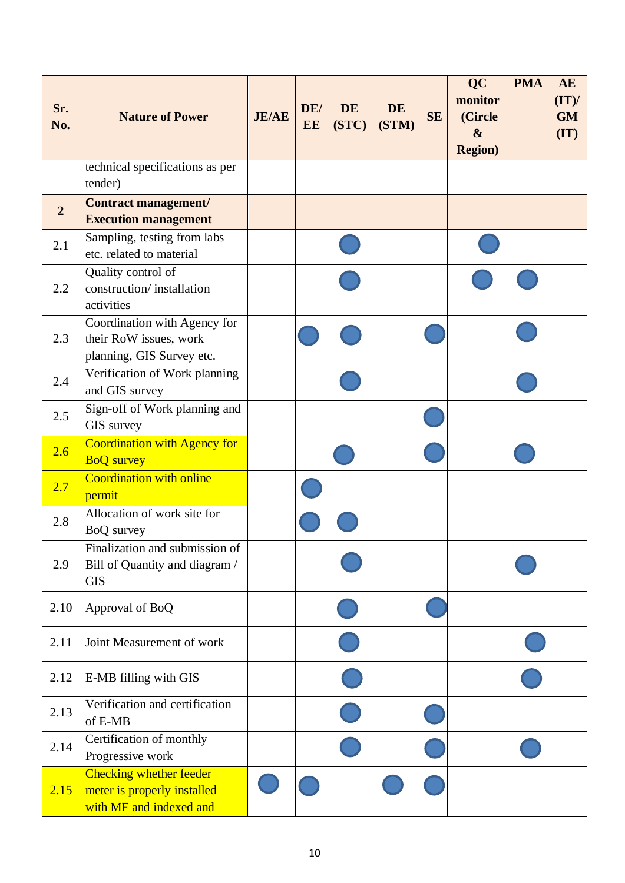| Sr.<br>No.     | <b>Nature of Power</b>                                                                   | <b>JE/AE</b> | DE/<br>EE | <b>DE</b><br>(STC) | <b>DE</b><br>(STM) | <b>SE</b> | QC<br>monitor<br>(Circle<br>$\boldsymbol{\&}$<br><b>Region</b> ) | <b>PMA</b> | <b>AE</b><br>(TT)<br><b>GM</b><br>(TT) |
|----------------|------------------------------------------------------------------------------------------|--------------|-----------|--------------------|--------------------|-----------|------------------------------------------------------------------|------------|----------------------------------------|
|                | technical specifications as per<br>tender)                                               |              |           |                    |                    |           |                                                                  |            |                                        |
| $\overline{2}$ | <b>Contract management/</b><br><b>Execution management</b>                               |              |           |                    |                    |           |                                                                  |            |                                        |
| 2.1            | Sampling, testing from labs<br>etc. related to material                                  |              |           |                    |                    |           |                                                                  |            |                                        |
| 2.2            | Quality control of<br>construction/installation<br>activities                            |              |           |                    |                    |           |                                                                  |            |                                        |
| 2.3            | Coordination with Agency for<br>their RoW issues, work<br>planning, GIS Survey etc.      |              |           |                    |                    |           |                                                                  |            |                                        |
| 2.4            | Verification of Work planning<br>and GIS survey                                          |              |           |                    |                    |           |                                                                  |            |                                        |
| 2.5            | Sign-off of Work planning and<br>GIS survey                                              |              |           |                    |                    |           |                                                                  |            |                                        |
| 2.6            | <b>Coordination with Agency for</b><br><b>BoQ</b> survey                                 |              |           |                    |                    |           |                                                                  |            |                                        |
| 2.7            | <b>Coordination with online</b><br>permit                                                |              |           |                    |                    |           |                                                                  |            |                                        |
| 2.8            | Allocation of work site for<br>BoQ survey                                                |              |           |                    |                    |           |                                                                  |            |                                        |
| 2.9            | Finalization and submission of<br>Bill of Quantity and diagram /<br><b>GIS</b>           |              |           |                    |                    |           |                                                                  |            |                                        |
| 2.10           | Approval of BoQ                                                                          |              |           |                    |                    |           |                                                                  |            |                                        |
| 2.11           | Joint Measurement of work                                                                |              |           |                    |                    |           |                                                                  |            |                                        |
| 2.12           | E-MB filling with GIS                                                                    |              |           |                    |                    |           |                                                                  |            |                                        |
| 2.13           | Verification and certification<br>of E-MB                                                |              |           |                    |                    |           |                                                                  |            |                                        |
| 2.14           | Certification of monthly<br>Progressive work                                             |              |           |                    |                    |           |                                                                  |            |                                        |
| 2.15           | <b>Checking whether feeder</b><br>meter is properly installed<br>with MF and indexed and |              |           |                    |                    |           |                                                                  |            |                                        |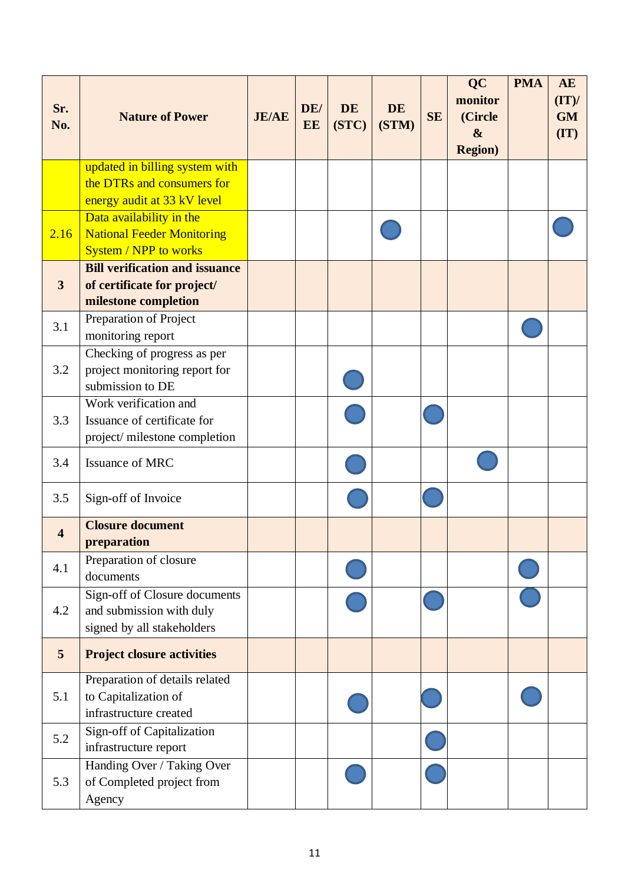| Sr.<br>No.              | <b>Nature of Power</b>                                            | <b>JE/AE</b> | DE/<br>EE | <b>DE</b><br>(STC) | <b>DE</b><br>(STM) | <b>SE</b> | <b>QC</b><br>monitor<br>(Circle<br>$\boldsymbol{\&}$<br><b>Region</b> ) | <b>PMA</b> | <b>AE</b><br>(TT)<br><b>GM</b><br>(TT) |
|-------------------------|-------------------------------------------------------------------|--------------|-----------|--------------------|--------------------|-----------|-------------------------------------------------------------------------|------------|----------------------------------------|
|                         | updated in billing system with<br>the DTRs and consumers for      |              |           |                    |                    |           |                                                                         |            |                                        |
|                         | energy audit at 33 kV level                                       |              |           |                    |                    |           |                                                                         |            |                                        |
|                         | Data availability in the                                          |              |           |                    |                    |           |                                                                         |            |                                        |
| 2.16                    | <b>National Feeder Monitoring</b><br><b>System / NPP to works</b> |              |           |                    |                    |           |                                                                         |            |                                        |
|                         | <b>Bill verification and issuance</b>                             |              |           |                    |                    |           |                                                                         |            |                                        |
| $\mathbf{3}$            | of certificate for project/                                       |              |           |                    |                    |           |                                                                         |            |                                        |
|                         | milestone completion<br>Preparation of Project                    |              |           |                    |                    |           |                                                                         |            |                                        |
| 3.1                     | monitoring report                                                 |              |           |                    |                    |           |                                                                         |            |                                        |
|                         | Checking of progress as per                                       |              |           |                    |                    |           |                                                                         |            |                                        |
| 3.2                     | project monitoring report for                                     |              |           |                    |                    |           |                                                                         |            |                                        |
|                         | submission to DE<br>Work verification and                         |              |           |                    |                    |           |                                                                         |            |                                        |
| 3.3                     | Issuance of certificate for                                       |              |           |                    |                    |           |                                                                         |            |                                        |
|                         | project/ milestone completion                                     |              |           |                    |                    |           |                                                                         |            |                                        |
| 3.4                     | <b>Issuance of MRC</b>                                            |              |           |                    |                    |           |                                                                         |            |                                        |
| 3.5                     | Sign-off of Invoice                                               |              |           |                    |                    |           |                                                                         |            |                                        |
| $\overline{\mathbf{4}}$ | <b>Closure document</b>                                           |              |           |                    |                    |           |                                                                         |            |                                        |
|                         | preparation                                                       |              |           |                    |                    |           |                                                                         |            |                                        |
| 4.1                     | Preparation of closure<br>documents                               |              |           |                    |                    |           |                                                                         |            |                                        |
|                         | Sign-off of Closure documents                                     |              |           |                    |                    |           |                                                                         |            |                                        |
| 4.2                     | and submission with duly<br>signed by all stakeholders            |              |           |                    |                    |           |                                                                         |            |                                        |
| 5                       | <b>Project closure activities</b>                                 |              |           |                    |                    |           |                                                                         |            |                                        |
|                         | Preparation of details related                                    |              |           |                    |                    |           |                                                                         |            |                                        |
| 5.1                     | to Capitalization of<br>infrastructure created                    |              |           |                    |                    |           |                                                                         |            |                                        |
| 5.2                     | Sign-off of Capitalization<br>infrastructure report               |              |           |                    |                    |           |                                                                         |            |                                        |
|                         | Handing Over / Taking Over                                        |              |           |                    |                    |           |                                                                         |            |                                        |
| 5.3                     | of Completed project from<br>Agency                               |              |           |                    |                    |           |                                                                         |            |                                        |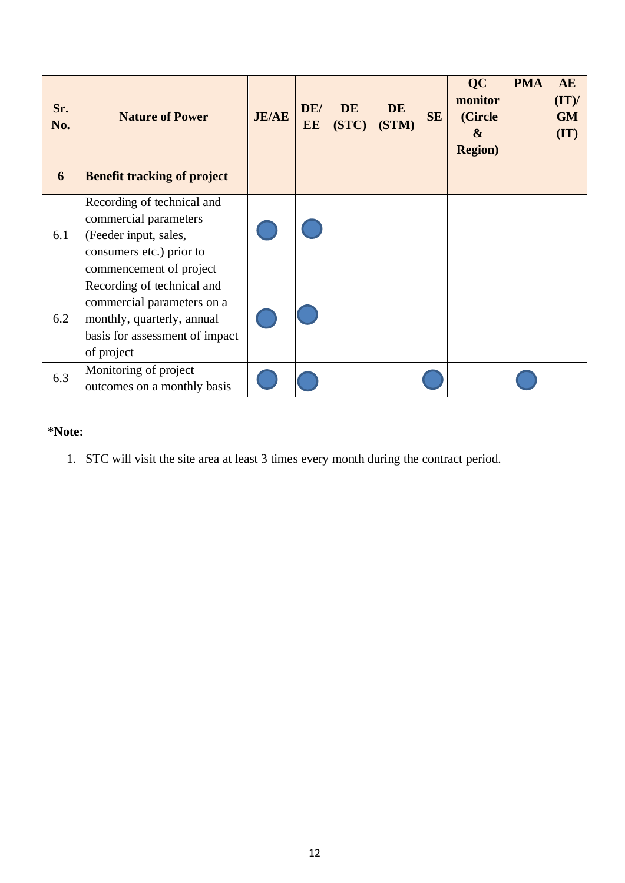| Sr.<br>No. | <b>Nature of Power</b>                                                                                                                 | <b>JE/AE</b> | DE/<br>EE | <b>DE</b><br>(STC) | <b>DE</b><br>(STM) | <b>SE</b> | <b>QC</b><br>monitor<br>(Circle<br>$\boldsymbol{\&}$<br><b>Region</b> ) | <b>PMA</b> | AE<br>(TT)<br><b>GM</b><br>$(\mathbf{I}\mathbf{T})$ |
|------------|----------------------------------------------------------------------------------------------------------------------------------------|--------------|-----------|--------------------|--------------------|-----------|-------------------------------------------------------------------------|------------|-----------------------------------------------------|
| 6          | <b>Benefit tracking of project</b>                                                                                                     |              |           |                    |                    |           |                                                                         |            |                                                     |
| 6.1        | Recording of technical and<br>commercial parameters<br>(Feeder input, sales,<br>consumers etc.) prior to<br>commencement of project    |              |           |                    |                    |           |                                                                         |            |                                                     |
| 6.2        | Recording of technical and<br>commercial parameters on a<br>monthly, quarterly, annual<br>basis for assessment of impact<br>of project |              |           |                    |                    |           |                                                                         |            |                                                     |
| 6.3        | Monitoring of project<br>outcomes on a monthly basis                                                                                   |              |           |                    |                    |           |                                                                         |            |                                                     |

#### **\*Note:**

1. STC will visit the site area at least 3 times every month during the contract period.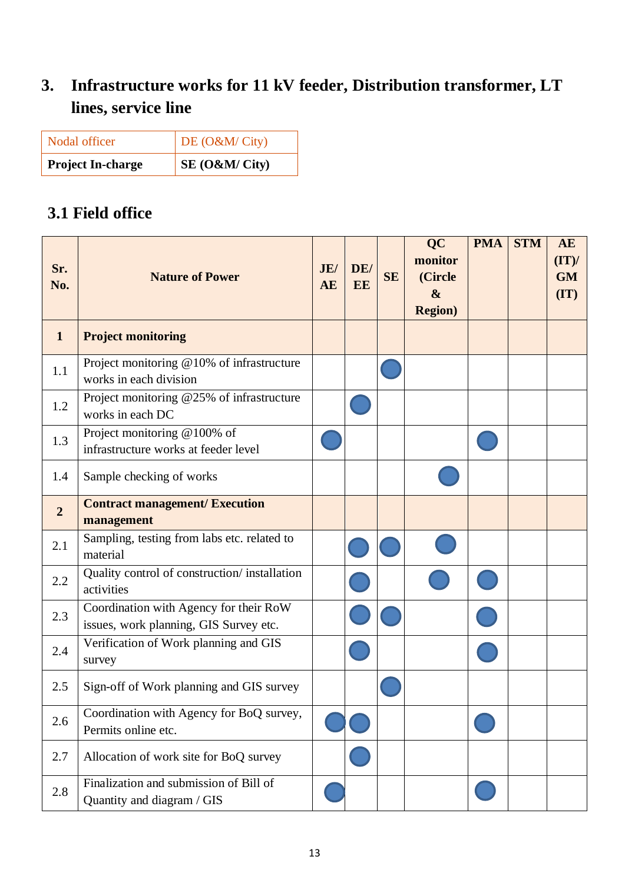# **3. Infrastructure works for 11 kV feeder, Distribution transformer, LT lines, service line**

| Nodal officer            | DE $(O&M/City)$ |
|--------------------------|-----------------|
| <b>Project In-charge</b> | $SE(0\&M/City)$ |

### **3.1 Field office**

| Sr.<br>No.     | <b>Nature of Power</b>                                                           | JE/<br><b>AE</b> | DE/<br>EE | <b>SE</b> | <b>QC</b><br>monitor<br>(Circle<br>$\boldsymbol{\&}$<br><b>Region</b> ) | <b>PMA</b> | <b>STM</b> | <b>AE</b><br>(TT)<br><b>GM</b><br>(TT) |
|----------------|----------------------------------------------------------------------------------|------------------|-----------|-----------|-------------------------------------------------------------------------|------------|------------|----------------------------------------|
| $\mathbf{1}$   | <b>Project monitoring</b>                                                        |                  |           |           |                                                                         |            |            |                                        |
| 1.1            | Project monitoring @10% of infrastructure<br>works in each division              |                  |           |           |                                                                         |            |            |                                        |
| 1.2            | Project monitoring @25% of infrastructure<br>works in each DC                    |                  |           |           |                                                                         |            |            |                                        |
| 1.3            | Project monitoring @100% of<br>infrastructure works at feeder level              |                  |           |           |                                                                         |            |            |                                        |
| 1.4            | Sample checking of works                                                         |                  |           |           |                                                                         |            |            |                                        |
| $\overline{2}$ | <b>Contract management/ Execution</b><br>management                              |                  |           |           |                                                                         |            |            |                                        |
| 2.1            | Sampling, testing from labs etc. related to<br>material                          |                  |           |           |                                                                         |            |            |                                        |
| 2.2            | Quality control of construction/installation<br>activities                       |                  |           |           |                                                                         |            |            |                                        |
| 2.3            | Coordination with Agency for their RoW<br>issues, work planning, GIS Survey etc. |                  |           |           |                                                                         |            |            |                                        |
| 2.4            | Verification of Work planning and GIS<br>survey                                  |                  |           |           |                                                                         |            |            |                                        |
| 2.5            | Sign-off of Work planning and GIS survey                                         |                  |           |           |                                                                         |            |            |                                        |
| 2.6            | Coordination with Agency for BoQ survey,<br>Permits online etc.                  |                  |           |           |                                                                         |            |            |                                        |
| 2.7            | Allocation of work site for BoQ survey                                           |                  |           |           |                                                                         |            |            |                                        |
| 2.8            | Finalization and submission of Bill of<br>Quantity and diagram / GIS             |                  |           |           |                                                                         |            |            |                                        |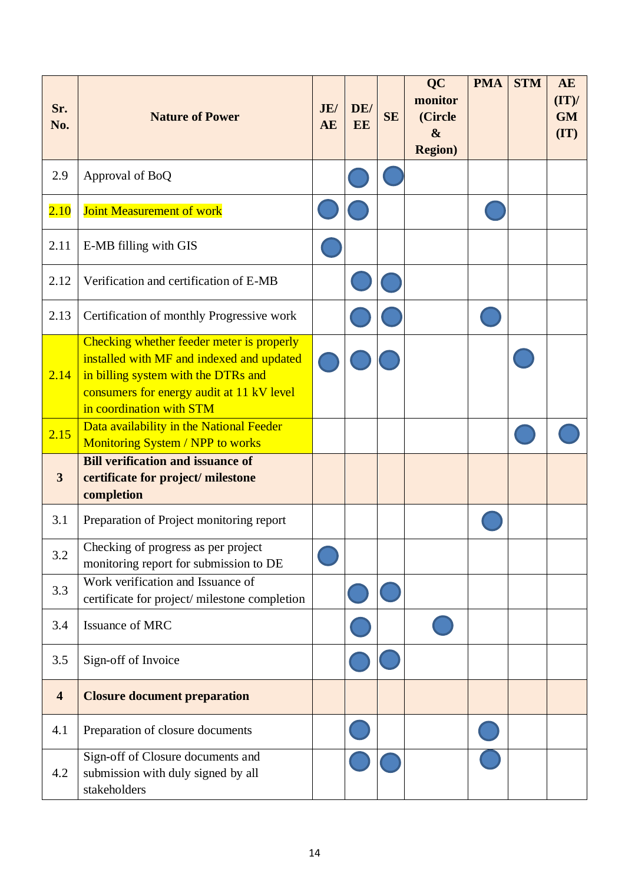| Sr.<br>No.              | <b>Nature of Power</b>                                                                                                                                                                                 | JE/<br>AE | DE/<br>EE | <b>SE</b> | <b>QC</b><br>monitor<br>(Circle<br>$\boldsymbol{\&}$<br><b>Region</b> ) | <b>PMA</b> | <b>STM</b> | <b>AE</b><br>(TT)<br><b>GM</b><br>(TT) |
|-------------------------|--------------------------------------------------------------------------------------------------------------------------------------------------------------------------------------------------------|-----------|-----------|-----------|-------------------------------------------------------------------------|------------|------------|----------------------------------------|
| 2.9                     | Approval of BoQ                                                                                                                                                                                        |           |           |           |                                                                         |            |            |                                        |
| 2.10                    | Joint Measurement of work                                                                                                                                                                              |           |           |           |                                                                         |            |            |                                        |
| 2.11                    | E-MB filling with GIS                                                                                                                                                                                  |           |           |           |                                                                         |            |            |                                        |
| 2.12                    | Verification and certification of E-MB                                                                                                                                                                 |           |           |           |                                                                         |            |            |                                        |
| 2.13                    | Certification of monthly Progressive work                                                                                                                                                              |           |           |           |                                                                         |            |            |                                        |
| 2.14                    | Checking whether feeder meter is properly<br>installed with MF and indexed and updated<br>in billing system with the DTRs and<br>consumers for energy audit at 11 kV level<br>in coordination with STM |           |           |           |                                                                         |            |            |                                        |
| 2.15                    | Data availability in the National Feeder<br>Monitoring System / NPP to works                                                                                                                           |           |           |           |                                                                         |            |            |                                        |
| 3                       | <b>Bill verification and issuance of</b><br>certificate for project/ milestone<br>completion                                                                                                           |           |           |           |                                                                         |            |            |                                        |
| 3.1                     | Preparation of Project monitoring report                                                                                                                                                               |           |           |           |                                                                         |            |            |                                        |
| 3.2                     | Checking of progress as per project<br>monitoring report for submission to DE                                                                                                                          |           |           |           |                                                                         |            |            |                                        |
| 3.3                     | Work verification and Issuance of<br>certificate for project/ milestone completion                                                                                                                     |           |           |           |                                                                         |            |            |                                        |
| 3.4                     | Issuance of MRC                                                                                                                                                                                        |           |           |           |                                                                         |            |            |                                        |
| 3.5                     | Sign-off of Invoice                                                                                                                                                                                    |           |           |           |                                                                         |            |            |                                        |
| $\overline{\mathbf{4}}$ | <b>Closure document preparation</b>                                                                                                                                                                    |           |           |           |                                                                         |            |            |                                        |
| 4.1                     | Preparation of closure documents                                                                                                                                                                       |           |           |           |                                                                         |            |            |                                        |
| 4.2                     | Sign-off of Closure documents and<br>submission with duly signed by all<br>stakeholders                                                                                                                |           |           |           |                                                                         |            |            |                                        |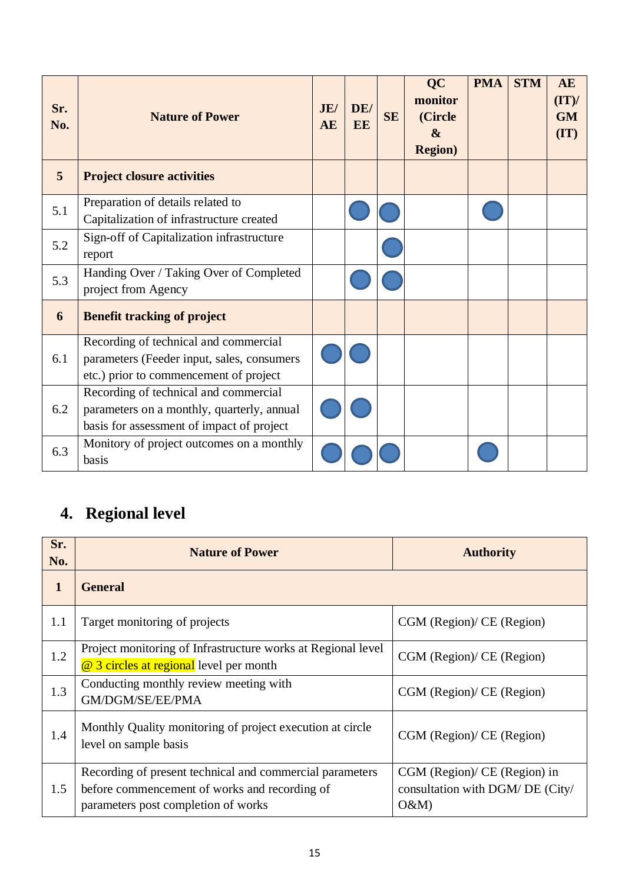| Sr.<br>No. | <b>Nature of Power</b>                                                                                                           | JE/<br><b>AE</b> | DE/<br>EE | <b>SE</b> | <b>QC</b><br>monitor<br>(Circle<br>$\boldsymbol{\alpha}$<br><b>Region</b> ) | <b>PMA</b> | <b>STM</b> | <b>AE</b><br>(TT)<br><b>GM</b><br>(TT) |
|------------|----------------------------------------------------------------------------------------------------------------------------------|------------------|-----------|-----------|-----------------------------------------------------------------------------|------------|------------|----------------------------------------|
| 5          | <b>Project closure activities</b>                                                                                                |                  |           |           |                                                                             |            |            |                                        |
| 5.1        | Preparation of details related to<br>Capitalization of infrastructure created                                                    |                  |           |           |                                                                             |            |            |                                        |
| 5.2        | Sign-off of Capitalization infrastructure<br>report                                                                              |                  |           |           |                                                                             |            |            |                                        |
| 5.3        | Handing Over / Taking Over of Completed<br>project from Agency                                                                   |                  |           |           |                                                                             |            |            |                                        |
| 6          | <b>Benefit tracking of project</b>                                                                                               |                  |           |           |                                                                             |            |            |                                        |
| 6.1        | Recording of technical and commercial<br>parameters (Feeder input, sales, consumers<br>etc.) prior to commencement of project    |                  |           |           |                                                                             |            |            |                                        |
| 6.2        | Recording of technical and commercial<br>parameters on a monthly, quarterly, annual<br>basis for assessment of impact of project |                  |           |           |                                                                             |            |            |                                        |
| 6.3        | Monitory of project outcomes on a monthly<br>basis                                                                               |                  |           |           |                                                                             |            |            |                                        |

# **4. Regional level**

| Sr.<br>No.   | <b>Nature of Power</b>                                                                                                                           | <b>Authority</b>                                                        |
|--------------|--------------------------------------------------------------------------------------------------------------------------------------------------|-------------------------------------------------------------------------|
| $\mathbf{1}$ | <b>General</b>                                                                                                                                   |                                                                         |
| 1.1          | Target monitoring of projects                                                                                                                    | CGM (Region)/ CE (Region)                                               |
| 1.2          | Project monitoring of Infrastructure works at Regional level<br>@ 3 circles at regional level per month                                          | CGM (Region)/ CE (Region)                                               |
| 1.3          | Conducting monthly review meeting with<br>GM/DGM/SE/EE/PMA                                                                                       | CGM (Region)/ CE (Region)                                               |
| 1.4          | Monthly Quality monitoring of project execution at circle<br>level on sample basis                                                               | CGM (Region)/ CE (Region)                                               |
| 1.5          | Recording of present technical and commercial parameters<br>before commencement of works and recording of<br>parameters post completion of works | CGM (Region)/ CE (Region) in<br>consultation with DGM/ DE (City/<br>O&M |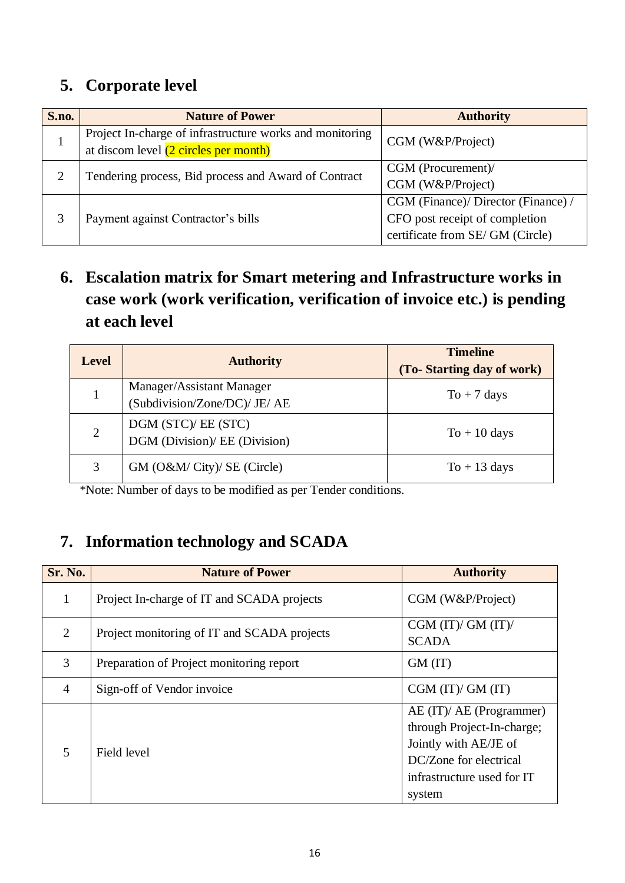### **5. Corporate level**

| S.no. | <b>Nature of Power</b>                                                                            | <b>Authority</b>                    |  |  |
|-------|---------------------------------------------------------------------------------------------------|-------------------------------------|--|--|
|       | Project In-charge of infrastructure works and monitoring<br>at discom level (2 circles per month) | CGM (W&P/Project)                   |  |  |
|       | Tendering process, Bid process and Award of Contract                                              | CGM (Procurement)/                  |  |  |
|       |                                                                                                   | CGM (W&P/Project)                   |  |  |
|       |                                                                                                   | CGM (Finance)/ Director (Finance) / |  |  |
|       | Payment against Contractor's bills                                                                | CFO post receipt of completion      |  |  |
|       |                                                                                                   | certificate from SE/GM (Circle)     |  |  |

### **6. Escalation matrix for Smart metering and Infrastructure works in case work (work verification, verification of invoice etc.) is pending at each level**

| <b>Level</b> | <b>Authority</b>                                           | <b>Timeline</b><br>(To-Starting day of work) |
|--------------|------------------------------------------------------------|----------------------------------------------|
|              | Manager/Assistant Manager<br>(Subdivision/Zone/DC)/ JE/ AE | $To + 7 \text{ days}$                        |
| 2            | DGM (STC)/ EE (STC)<br>DGM (Division)/ EE (Division)       | $To + 10 \text{ days}$                       |
|              | GM (O&M/ City)/ SE (Circle)                                | $To + 13 \text{ days}$                       |

\*Note: Number of days to be modified as per Tender conditions.

### **7. Information technology and SCADA**

| Sr. No.        | <b>Nature of Power</b>                      | <b>Authority</b>                                                                                                                                  |
|----------------|---------------------------------------------|---------------------------------------------------------------------------------------------------------------------------------------------------|
| 1              | Project In-charge of IT and SCADA projects  | CGM (W&P/Project)                                                                                                                                 |
| $\overline{2}$ | Project monitoring of IT and SCADA projects | CGM $(IT)/GM (IT)/$<br><b>SCADA</b>                                                                                                               |
| 3              | Preparation of Project monitoring report    | GM (IT)                                                                                                                                           |
| $\overline{4}$ | Sign-off of Vendor invoice                  | CGM (IT)/ GM (IT)                                                                                                                                 |
| 5              | Field level                                 | AE (IT)/ AE (Programmer)<br>through Project-In-charge;<br>Jointly with AE/JE of<br>DC/Zone for electrical<br>infrastructure used for IT<br>system |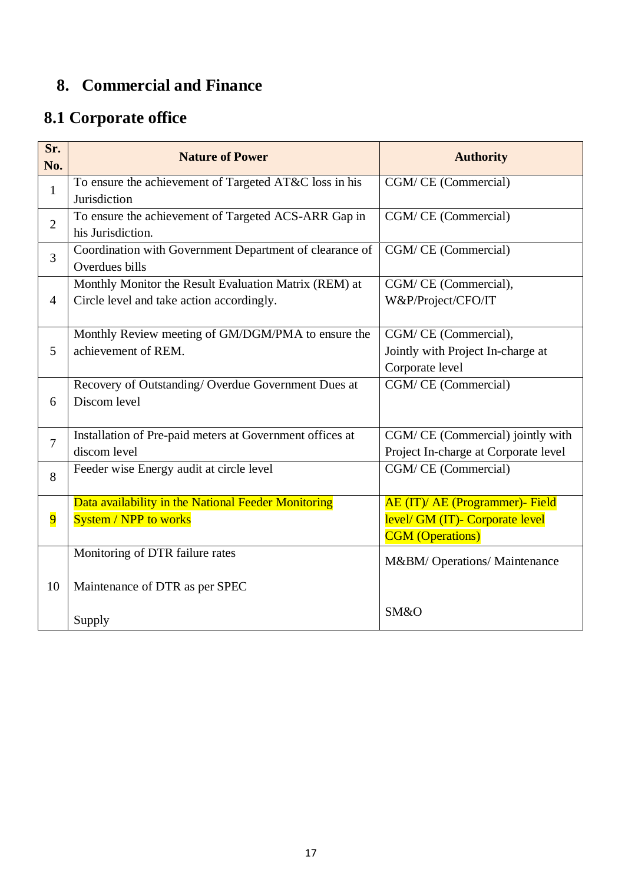## **8. Commercial and Finance**

# **8.1 Corporate office**

| Sr.<br>No.     | <b>Nature of Power</b>                                                                             | <b>Authority</b>                                                                              |
|----------------|----------------------------------------------------------------------------------------------------|-----------------------------------------------------------------------------------------------|
| $\mathbf{1}$   | To ensure the achievement of Targeted AT&C loss in his<br>Jurisdiction                             | CGM/CE (Commercial)                                                                           |
| $\overline{2}$ | To ensure the achievement of Targeted ACS-ARR Gap in<br>his Jurisdiction.                          | CGM/CE (Commercial)                                                                           |
| $\overline{3}$ | Coordination with Government Department of clearance of<br>Overdues bills                          | CGM/CE (Commercial)                                                                           |
| $\overline{4}$ | Monthly Monitor the Result Evaluation Matrix (REM) at<br>Circle level and take action accordingly. | CGM/CE (Commercial),<br>W&P/Project/CFO/IT                                                    |
| 5              | Monthly Review meeting of GM/DGM/PMA to ensure the<br>achievement of REM.                          | CGM/CE (Commercial),<br>Jointly with Project In-charge at<br>Corporate level                  |
| 6              | Recovery of Outstanding/Overdue Government Dues at<br>Discom level                                 | CGM/CE (Commercial)                                                                           |
| $\overline{7}$ | Installation of Pre-paid meters at Government offices at<br>discom level                           | CGM/CE (Commercial) jointly with<br>Project In-charge at Corporate level                      |
| 8              | Feeder wise Energy audit at circle level                                                           | CGM/CE (Commercial)                                                                           |
| $\overline{9}$ | Data availability in the National Feeder Monitoring<br><b>System / NPP to works</b>                | AE (IT)/ AE (Programmer)- Field<br>level/ GM (IT)- Corporate level<br><b>CGM</b> (Operations) |
|                | Monitoring of DTR failure rates                                                                    | M&BM/ Operations/ Maintenance                                                                 |
| 10             | Maintenance of DTR as per SPEC<br>Supply                                                           | SM&O                                                                                          |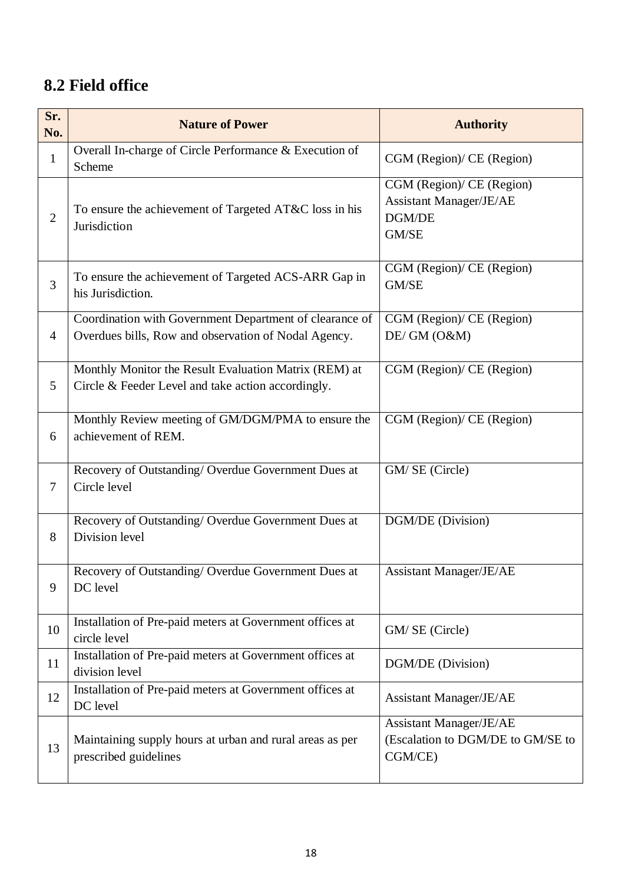### **8.2 Field office**

| Sr.<br>No.     | <b>Nature of Power</b>                                                                                          | <b>Authority</b>                                                               |
|----------------|-----------------------------------------------------------------------------------------------------------------|--------------------------------------------------------------------------------|
| $\mathbf{1}$   | Overall In-charge of Circle Performance & Execution of<br>Scheme                                                | CGM (Region)/ CE (Region)                                                      |
| $\overline{2}$ | To ensure the achievement of Targeted AT&C loss in his<br>Jurisdiction                                          | CGM (Region)/ CE (Region)<br><b>Assistant Manager/JE/AE</b><br>DGM/DE<br>GM/SE |
| 3              | To ensure the achievement of Targeted ACS-ARR Gap in<br>his Jurisdiction.                                       | CGM (Region)/ CE (Region)<br>GM/SE                                             |
| $\overline{4}$ | Coordination with Government Department of clearance of<br>Overdues bills, Row and observation of Nodal Agency. | CGM (Region)/ CE (Region)<br>DE/GM (O&M)                                       |
| 5              | Monthly Monitor the Result Evaluation Matrix (REM) at<br>Circle & Feeder Level and take action accordingly.     | CGM (Region)/ CE (Region)                                                      |
| 6              | Monthly Review meeting of GM/DGM/PMA to ensure the<br>achievement of REM.                                       | CGM (Region)/ CE (Region)                                                      |
| $\tau$         | Recovery of Outstanding/Overdue Government Dues at<br>Circle level                                              | GM/SE (Circle)                                                                 |
| 8              | Recovery of Outstanding/Overdue Government Dues at<br>Division level                                            | DGM/DE (Division)                                                              |
| 9              | Recovery of Outstanding/Overdue Government Dues at<br>DC level                                                  | <b>Assistant Manager/JE/AE</b>                                                 |
| 10             | Installation of Pre-paid meters at Government offices at<br>circle level                                        | GM/SE (Circle)                                                                 |
| 11             | Installation of Pre-paid meters at Government offices at<br>division level                                      | DGM/DE (Division)                                                              |
| 12             | Installation of Pre-paid meters at Government offices at<br>DC level                                            | <b>Assistant Manager/JE/AE</b>                                                 |
| 13             | Maintaining supply hours at urban and rural areas as per<br>prescribed guidelines                               | Assistant Manager/JE/AE<br>(Escalation to DGM/DE to GM/SE to<br>CGM/CE)        |